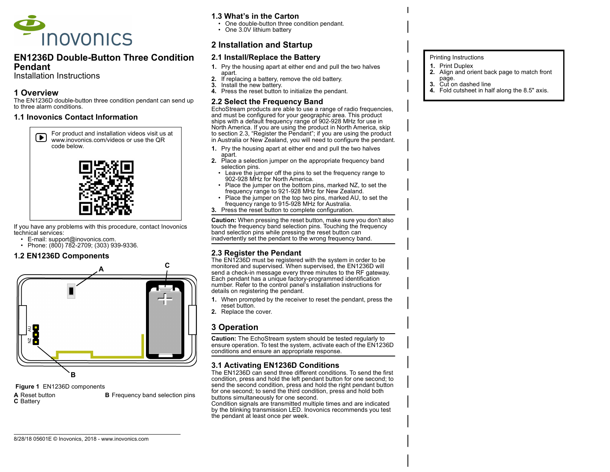

### EN1236D Double-Button Three Condition Pendant

Installation Instructions

## 1 Overview

The EN1236D double-button three condition pendant can send up to three alarm conditions.

#### 1.1 Inovonics Contact Information





If you have any problems with this procedure, contact Inovonics technical services:

- E-mail: support@inovonics.com.
- Phone: (800) 782-2709; (303) 939-9336.

### 1.2 EN1236D Components



Figure 1 EN1236D components **A** Reset button **B** Frequency band selection pins C Battery

8/28/18 05601E © Inovonics, 2018 - www.inovonics.com

### 1.3 What's in the Carton

- One double-button three condition pendant.
- One 3.0V lithium battery

# 2 Installation and Startup

### 2.1 Install/Replace the Battery

- 1. Pry the housing apart at either end and pull the two halves apart.
- 2. If replacing a battery, remove the old battery.
- 3. Install the new battery.
- 4. Press the reset button to initialize the pendant.

#### 2.2 Select the Frequency Band

EchoStream products are able to use a range of radio frequencies, and must be configured for your geographic area. This product ships with a default frequency range of 902-928 MHz for use in North America. If you are using the product in North America, skip to section 2.3. "Register the Pendant": if you are using the product in Australia or New Zealand, you will need to configure the pendant.

- 1. Pry the housing apart at either end and pull the two halves apart.
- 2. Place a selection jumper on the appropriate frequency band selection pins.
	- Leave the jumper off the pins to set the frequency range to 902-928 MHz for North America.
	- Place the jumper on the bottom pins, marked NZ, to set the frequency range to 921-928 MHz for New Zealand.
	- Place the jumper on the top two pins, marked AU, to set the frequency range to 915-928 MHz for Australia.
- 3. Press the reset button to complete configuration.

Caution: When pressing the reset button, make sure you don't also touch the frequency band selection pins. Touching the frequency band selection pins while pressing the reset button can inadvertently set the pendant to the wrong frequency band.

### 2.3 Register the Pendant

The EN1236D must be registered with the system in order to be monitored and supervised. When supervised, the EN1236D will send a check-in message every three minutes to the RF gateway. Each pendant has a unique factory-programmed identification number. Refer to the control panel's installation instructions for details on registering the pendant.

- 1. When prompted by the receiver to reset the pendant, press the reset button.
- 2. Replace the cover.

# 3 Operation

Caution: The EchoStream system should be tested regularly to ensure operation. To test the system, activate each of the EN1236D conditions and ensure an appropriate response.

# 3.1 Activating EN1236D Conditions

The EN1236D can send three different conditions. To send the first condition, press and hold the left pendant button for one second; to send the second condition, press and hold the right pendant button for one second; to send the third condition, press and hold both buttons simultaneously for one second.

Condition signals are transmitted multiple times and are indicated by the blinking transmission LED. Inovonics recommends you test the pendant at least once per week.

#### Printing Instructions

- 1. Print Duplex
- 2. Align and orient back page to match front
- page.
- 3. Cut on dashed line 4. Fold cutsheet in half along the 8.5" axis.